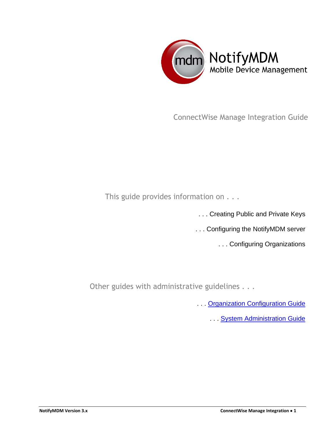

ConnectWise Manage Integration Guide

This guide provides information on . . .

. . . Creating Public and Private Keys

. . . Configuring the NotifyMDM server

. . . Configuring Organizations

Other guides with administrative guidelines . . .

**...** Organization Configuration Guide

**... System Administration Guide**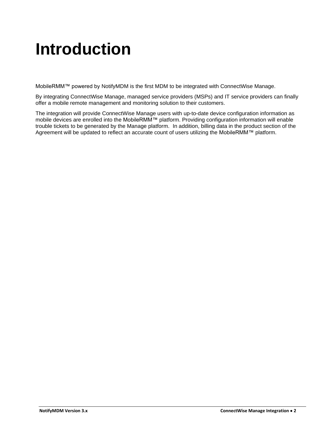### **Introduction**

MobileRMM™ powered by NotifyMDM is the first MDM to be integrated with ConnectWise Manage.

By integrating ConnectWise Manage, managed service providers (MSPs) and IT service providers can finally offer a mobile remote management and monitoring solution to their customers.

The integration will provide ConnectWise Manage users with up-to-date device configuration information as mobile devices are enrolled into the MobileRMM™ platform. Providing configuration information will enable trouble tickets to be generated by the Manage platform. In addition, billing data in the product section of the Agreement will be updated to reflect an accurate count of users utilizing the MobileRMM™ platform.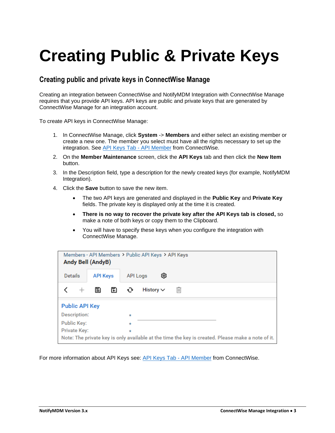## **Creating Public & Private Keys**

#### **Creating public and private keys in ConnectWise Manage**

Creating an integration between ConnectWise and NotifyMDM Integration with ConnectWise Manage requires that you provide API keys. API keys are public and private keys that are generated by ConnectWise Manage for an integration account.

To create API keys in ConnectWise Manage:

- 1. In ConnectWise Manage, click **System** -> **Members** and either select an existing member or create a new one. The member you select must have all the rights necessary to set up the integration. See [API Keys Tab -](https://docs.connectwise.com/ConnectWise_Documentation/090/040/010/040/010) API Member from ConnectWise.
- 2. On the **Member Maintenance** screen, click the **API Keys** tab and then click the **New Item** button.
- 3. In the Description field, type a description for the newly created keys (for example, NotifyMDM Integration).
- 4. Click the **Save** button to save the new item.
	- The two API keys are generated and displayed in the **Public Key** and **Private Key** fields. The private key is displayed only at the time it is created.
	- **There is no way to recover the private key after the API Keys tab is closed,** so make a note of both keys or copy them to the Clipboard.
	- You will have to specify these keys when you configure the integration with ConnectWise Manage.

| Members - API Members > Public API Keys > API Keys<br><b>Andy Bell (AndyB)</b>                    |                 |                           |  |  |  |
|---------------------------------------------------------------------------------------------------|-----------------|---------------------------|--|--|--|
| Details                                                                                           | <b>API Keys</b> | ශ<br><b>API Logs</b>      |  |  |  |
| $^+$                                                                                              | ▧<br>圕          | History $\vee$<br>Ш<br>¢٠ |  |  |  |
| <b>Public API Key</b>                                                                             |                 |                           |  |  |  |
| Description:                                                                                      |                 | $\star$                   |  |  |  |
| <b>Public Key:</b>                                                                                |                 | $\star$                   |  |  |  |
| Private Key:                                                                                      |                 | $\star$                   |  |  |  |
| Note: The private key is only available at the time the key is created. Please make a note of it. |                 |                           |  |  |  |

For more information about API Keys see: [API Keys Tab -](https://docs.connectwise.com/ConnectWise_Documentation/090/040/010/040/010) API Member from ConnectWise.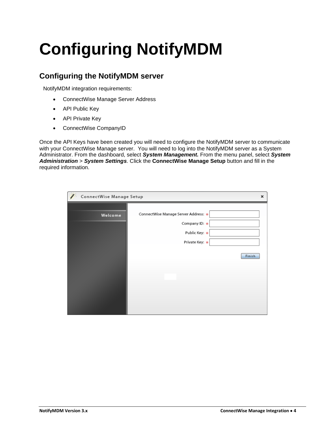# **Configuring NotifyMDM**

#### **Configuring the NotifyMDM server**

NotifyMDM integration requirements:

- ConnectWise Manage Server Address
- API Public Key
- API Private Key
- ConnectWise CompanyID

Once the API Keys have been created you will need to configure the NotifyMDM server to communicate with your ConnectWise Manage server. You will need to log into the NotifyMDM server as a System Administrator. From the dashboard, select *System Management.* From the menu panel, select *System Administration* > *System Settings*. Click the **ConnectWise Manage Setup** button and fill in the required information.

| ConnectWise Manage Setup |                                                                                          | ×      |
|--------------------------|------------------------------------------------------------------------------------------|--------|
| Welcome                  | ConnectWise Manage Server Address: *<br>Company ID: *<br>Public Key: *<br>Private Key: * | Finish |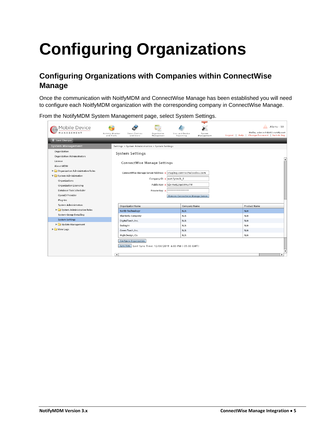# **Configuring Organizations**

### **Configuring Organizations with Companies within ConnectWise Manage**

Once the communication with NoitfyMDM and ConnectWise Manage has been established you will need to configure each NoitfyMDM organization with the corresponding company in ConnectWise Manage.

From the NotifyMDM System Management page, select System Settings.

| Mobile Device<br>MANAGEMENT<br>Save Changes                                                                                                                                      | Activity Monitor<br>and Alerts | Smart Devices<br>and Users                                                                                                                                                                                | Organization<br>Management | User and Device<br>Reporting                               | System<br>Management | Logout   Help | Alerts - (0)<br>Hello, admin@dc03.notify.net<br>Change Password   Switch Org |
|----------------------------------------------------------------------------------------------------------------------------------------------------------------------------------|--------------------------------|-----------------------------------------------------------------------------------------------------------------------------------------------------------------------------------------------------------|----------------------------|------------------------------------------------------------|----------------------|---------------|------------------------------------------------------------------------------|
| System Management                                                                                                                                                                |                                | Settings > System Administration > System Settings                                                                                                                                                        |                            |                                                            |                      |               |                                                                              |
| Organization<br>Organization Administrators                                                                                                                                      |                                | System Settings                                                                                                                                                                                           |                            |                                                            |                      |               | $\blacktriangle$                                                             |
| License<br>About MDM                                                                                                                                                             |                                | <b>ConnectWise Manage Settings</b>                                                                                                                                                                        |                            |                                                            |                      |               |                                                                              |
| $\blacktriangleright$ $\Box$ Organization Administrative Roles<br>System Administration<br>Organizations<br>Organization Licensing<br>Database Task Scheduler<br>OpenID Provider |                                | ConnectWise Manage Server Address: * staging.connectwisedev.com<br>Company ID: * notifytech_f<br>Public Key: * IZrIAeE23pS5Ny7M<br>****************<br>Private Key: *<br>Remove Connectwise Manage Server |                            |                                                            |                      |               |                                                                              |
| Plug-Ins<br><b>System Administrators</b>                                                                                                                                         |                                | OrganizationName                                                                                                                                                                                          |                            | <b>Company Name</b>                                        |                      |               | <b>Product Name</b>                                                          |
| System Administrative Roles                                                                                                                                                      |                                | <b>Notify Technology</b>                                                                                                                                                                                  |                            | N/A                                                        |                      |               | N/A                                                                          |
| System Group E-mailing                                                                                                                                                           |                                | BlueWeb, Company                                                                                                                                                                                          |                            | N/A                                                        |                      |               | N/A                                                                          |
| <b>System Settings</b>                                                                                                                                                           |                                | DigitalTorch, Inc.                                                                                                                                                                                        |                            | N/A                                                        |                      |               | N/A                                                                          |
| ▶ Update Management                                                                                                                                                              |                                | Endsight                                                                                                                                                                                                  |                            | N/A                                                        |                      |               | N/A                                                                          |
| $\triangleright$ $\square$ View Logs                                                                                                                                             |                                | Green Torch, Inc.                                                                                                                                                                                         |                            | N/A                                                        |                      |               | N/A                                                                          |
|                                                                                                                                                                                  |                                | High Design, Co.                                                                                                                                                                                          |                            | N/A                                                        |                      |               | N/A                                                                          |
|                                                                                                                                                                                  | ۰                              | Configure Organization                                                                                                                                                                                    |                            | Sync Now   Last Sync Time: 12/08/2019 6:03 PM (-05:00 GMT) |                      |               | $\overline{\mathbf{v}}$<br>ь                                                 |